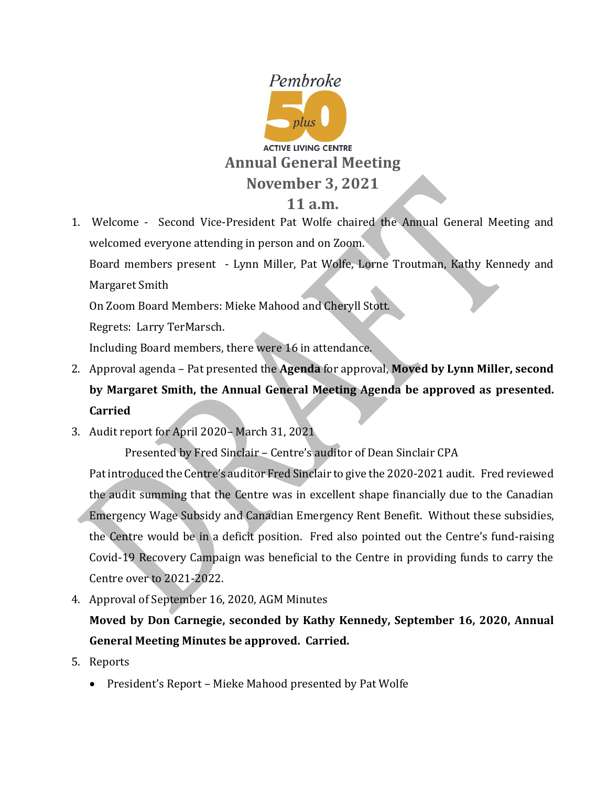

# **11 a.m.**

1. Welcome - Second Vice-President Pat Wolfe chaired the Annual General Meeting and welcomed everyone attending in person and on Zoom. Board members present - Lynn Miller, Pat Wolfe, Lorne Troutman, Kathy Kennedy and Margaret Smith On Zoom Board Members: Mieke Mahood and Cheryll Stott.

Regrets: Larry TerMarsch.

Including Board members, there were 16 in attendance.

- 2. Approval agenda Pat presented the **Agenda** for approval, **Moved by Lynn Miller, second by Margaret Smith, the Annual General Meeting Agenda be approved as presented. Carried**
- 3. Audit report for April 2020– March 31, 2021

Presented by Fred Sinclair – Centre's auditor of Dean Sinclair CPA

Pat introduced the Centre's auditor Fred Sinclair to give the 2020-2021 audit. Fred reviewed the audit summing that the Centre was in excellent shape financially due to the Canadian Emergency Wage Subsidy and Canadian Emergency Rent Benefit. Without these subsidies, the Centre would be in a deficit position. Fred also pointed out the Centre's fund-raising Covid-19 Recovery Campaign was beneficial to the Centre in providing funds to carry the Centre over to 2021-2022.

4. Approval of September 16, 2020, AGM Minutes

**Moved by Don Carnegie, seconded by Kathy Kennedy, September 16, 2020, Annual General Meeting Minutes be approved. Carried.** 

- 5. Reports
	- President's Report Mieke Mahood presented by Pat Wolfe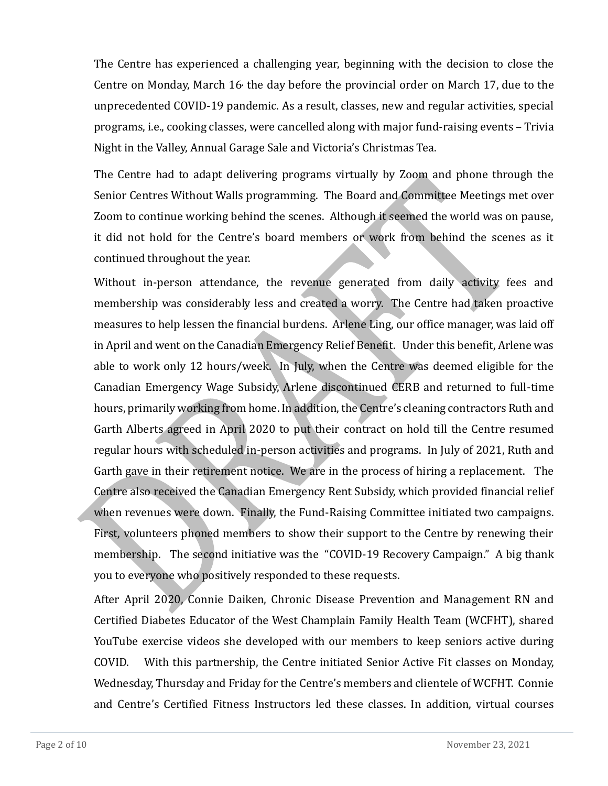The Centre has experienced a challenging year, beginning with the decision to close the Centre on Monday, March 16, the day before the provincial order on March 17, due to the unprecedented COVID-19 pandemic. As a result, classes, new and regular activities, special programs, i.e., cooking classes, were cancelled along with major fund-raising events – Trivia Night in the Valley, Annual Garage Sale and Victoria's Christmas Tea.

The Centre had to adapt delivering programs virtually by Zoom and phone through the Senior Centres Without Walls programming. The Board and Committee Meetings met over Zoom to continue working behind the scenes. Although it seemed the world was on pause, it did not hold for the Centre's board members or work from behind the scenes as it continued throughout the year.

Without in-person attendance, the revenue generated from daily activity fees and membership was considerably less and created a worry. The Centre had taken proactive measures to help lessen the financial burdens. Arlene Ling, our office manager, was laid off in April and went on the Canadian Emergency Relief Benefit. Under this benefit, Arlene was able to work only 12 hours/week. In July, when the Centre was deemed eligible for the Canadian Emergency Wage Subsidy, Arlene discontinued CERB and returned to full-time hours, primarily working from home. In addition, the Centre's cleaning contractors Ruth and Garth Alberts agreed in April 2020 to put their contract on hold till the Centre resumed regular hours with scheduled in-person activities and programs. In July of 2021, Ruth and Garth gave in their retirement notice. We are in the process of hiring a replacement. The Centre also received the Canadian Emergency Rent Subsidy, which provided financial relief when revenues were down. Finally, the Fund-Raising Committee initiated two campaigns. First, volunteers phoned members to show their support to the Centre by renewing their membership. The second initiative was the "COVID-19 Recovery Campaign." A big thank you to everyone who positively responded to these requests.

After April 2020, Connie Daiken, Chronic Disease Prevention and Management RN and Certified Diabetes Educator of the West Champlain Family Health Team (WCFHT), shared YouTube exercise videos she developed with our members to keep seniors active during COVID. With this partnership, the Centre initiated Senior Active Fit classes on Monday, Wednesday, Thursday and Friday for the Centre's members and clientele of WCFHT. Connie and Centre's Certified Fitness Instructors led these classes. In addition, virtual courses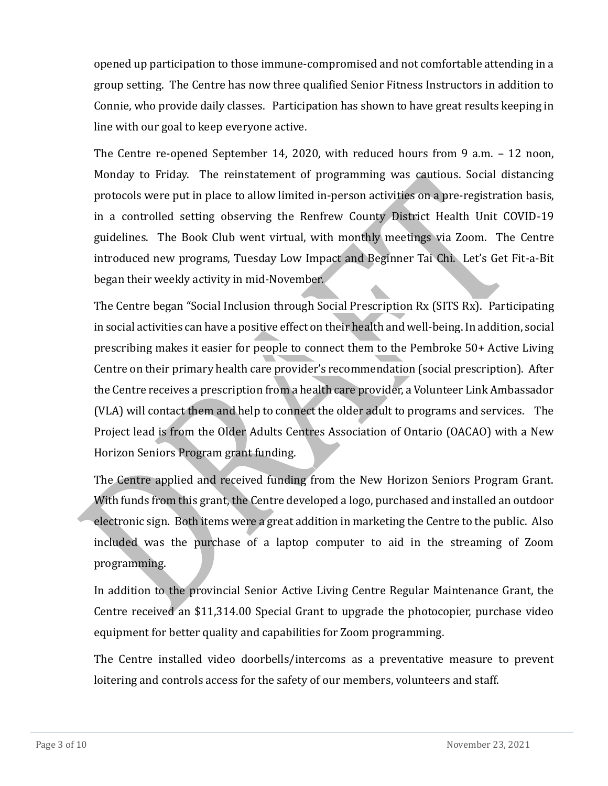opened up participation to those immune-compromised and not comfortable attending in a group setting. The Centre has now three qualified Senior Fitness Instructors in addition to Connie, who provide daily classes. Participation has shown to have great results keeping in line with our goal to keep everyone active.

The Centre re-opened September 14, 2020, with reduced hours from 9 a.m. – 12 noon, Monday to Friday. The reinstatement of programming was cautious. Social distancing protocols were put in place to allow limited in-person activities on a pre-registration basis, in a controlled setting observing the Renfrew County District Health Unit COVID-19 guidelines. The Book Club went virtual, with monthly meetings via Zoom. The Centre introduced new programs, Tuesday Low Impact and Beginner Tai Chi. Let's Get Fit-a-Bit began their weekly activity in mid-November.

The Centre began "Social Inclusion through Social Prescription Rx (SITS Rx). Participating in social activities can have a positive effect on their health and well-being. In addition, social prescribing makes it easier for people to connect them to the Pembroke 50+ Active Living Centre on their primary health care provider's recommendation (social prescription). After the Centre receives a prescription from a health care provider, a Volunteer Link Ambassador (VLA) will contact them and help to connect the older adult to programs and services. The Project lead is from the Older Adults Centres Association of Ontario (OACAO) with a New Horizon Seniors Program grant funding.

The Centre applied and received funding from the New Horizon Seniors Program Grant. With funds from this grant, the Centre developed a logo, purchased and installed an outdoor electronic sign. Both items were a great addition in marketing the Centre to the public. Also included was the purchase of a laptop computer to aid in the streaming of Zoom programming.

In addition to the provincial Senior Active Living Centre Regular Maintenance Grant, the Centre received an \$11,314.00 Special Grant to upgrade the photocopier, purchase video equipment for better quality and capabilities for Zoom programming.

The Centre installed video doorbells/intercoms as a preventative measure to prevent loitering and controls access for the safety of our members, volunteers and staff.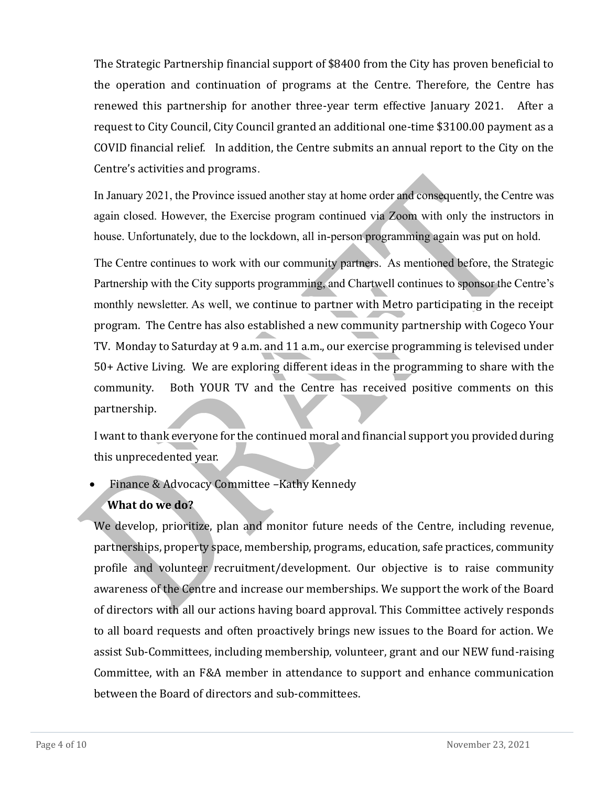The Strategic Partnership financial support of \$8400 from the City has proven beneficial to the operation and continuation of programs at the Centre. Therefore, the Centre has renewed this partnership for another three-year term effective January 2021. After a request to City Council, City Council granted an additional one-time \$3100.00 payment as a COVID financial relief. In addition, the Centre submits an annual report to the City on the Centre's activities and programs.

In January 2021, the Province issued another stay at home order and consequently, the Centre was again closed. However, the Exercise program continued via Zoom with only the instructors in house. Unfortunately, due to the lockdown, all in-person programming again was put on hold.

The Centre continues to work with our community partners. As mentioned before, the Strategic Partnership with the City supports programming, and Chartwell continues to sponsor the Centre's monthly newsletter. As well, we continue to partner with Metro participating in the receipt program. The Centre has also established a new community partnership with Cogeco Your TV. Monday to Saturday at 9 a.m. and 11 a.m., our exercise programming is televised under 50+ Active Living. We are exploring different ideas in the programming to share with the community. Both YOUR TV and the Centre has received positive comments on this partnership.

I want to thank everyone for the continued moral and financial support you provided during this unprecedented year.

### • Finance & Advocacy Committee –Kathy Kennedy

### **What do we do?**

We develop, prioritize, plan and monitor future needs of the Centre, including revenue, partnerships, property space, membership, programs, education, safe practices, community profile and volunteer recruitment/development. Our objective is to raise community awareness of the Centre and increase our memberships. We support the work of the Board of directors with all our actions having board approval. This Committee actively responds to all board requests and often proactively brings new issues to the Board for action. We assist Sub-Committees, including membership, volunteer, grant and our NEW fund-raising Committee, with an F&A member in attendance to support and enhance communication between the Board of directors and sub-committees.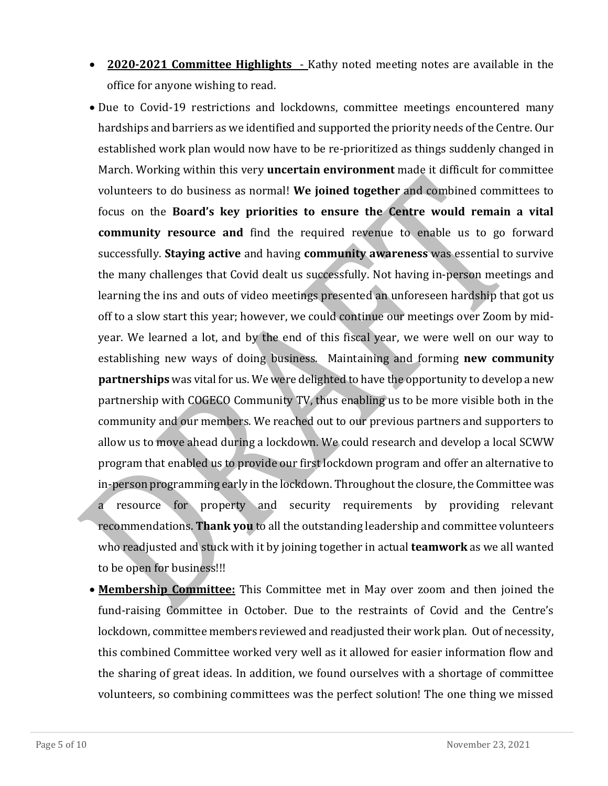- **2020-2021 Committee Highlights**  Kathy noted meeting notes are available in the office for anyone wishing to read.
- Due to Covid-19 restrictions and lockdowns, committee meetings encountered many hardships and barriers as we identified and supported the priority needs of the Centre. Our established work plan would now have to be re-prioritized as things suddenly changed in March. Working within this very **uncertain environment** made it difficult for committee volunteers to do business as normal! **We joined together** and combined committees to focus on the **Board's key priorities to ensure the Centre would remain a vital community resource and** find the required revenue to enable us to go forward successfully. **Staying active** and having **community awareness** was essential to survive the many challenges that Covid dealt us successfully. Not having in-person meetings and learning the ins and outs of video meetings presented an unforeseen hardship that got us off to a slow start this year; however, we could continue our meetings over Zoom by midyear. We learned a lot, and by the end of this fiscal year, we were well on our way to establishing new ways of doing business. Maintaining and forming **new community partnerships** was vital for us. We were delighted to have the opportunity to develop a new partnership with COGECO Community TV, thus enabling us to be more visible both in the community and our members. We reached out to our previous partners and supporters to allow us to move ahead during a lockdown. We could research and develop a local SCWW program that enabled us to provide our first lockdown program and offer an alternative to in-person programming early in the lockdown. Throughout the closure, the Committee was a resource for property and security requirements by providing relevant recommendations. **Thank you** to all the outstanding leadership and committee volunteers who readjusted and stuck with it by joining together in actual **teamwork** as we all wanted to be open for business!!!
- **Membership Committee:** This Committee met in May over zoom and then joined the fund-raising Committee in October. Due to the restraints of Covid and the Centre's lockdown, committee members reviewed and readjusted their work plan. Out of necessity, this combined Committee worked very well as it allowed for easier information flow and the sharing of great ideas. In addition, we found ourselves with a shortage of committee volunteers, so combining committees was the perfect solution! The one thing we missed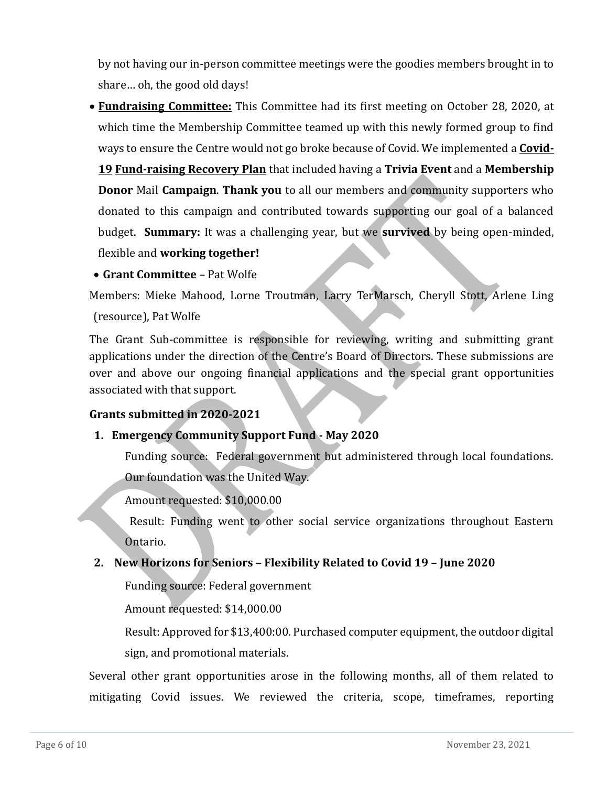by not having our in-person committee meetings were the goodies members brought in to share… oh, the good old days!

• **Fundraising Committee:** This Committee had its first meeting on October 28, 2020, at which time the Membership Committee teamed up with this newly formed group to find ways to ensure the Centre would not go broke because of Covid. We implemented a **Covid-**

**19 Fund-raising Recovery Plan** that included having a **Trivia Event** and a **Membership Donor** Mail **Campaign**. **Thank you** to all our members and community supporters who donated to this campaign and contributed towards supporting our goal of a balanced budget. **Summary:** It was a challenging year, but we **survived** by being open-minded, flexible and **working together!**

• **Grant Committee** – Pat Wolfe

Members: Mieke Mahood, Lorne Troutman, Larry TerMarsch, Cheryll Stott, Arlene Ling (resource), Pat Wolfe

The Grant Sub-committee is responsible for reviewing, writing and submitting grant applications under the direction of the Centre's Board of Directors. These submissions are over and above our ongoing financial applications and the special grant opportunities associated with that support.

## **Grants submitted in 2020-2021**

### **1. Emergency Community Support Fund - May 2020**

Funding source: Federal government but administered through local foundations. Our foundation was the United Way.

Amount requested: \$10,000.00

Result: Funding went to other social service organizations throughout Eastern Ontario.

### **2. New Horizons for Seniors – Flexibility Related to Covid 19 – June 2020**

Funding source: Federal government

Amount requested: \$14,000.00

Result: Approved for \$13,400:00. Purchased computer equipment, the outdoor digital sign, and promotional materials.

Several other grant opportunities arose in the following months, all of them related to mitigating Covid issues. We reviewed the criteria, scope, timeframes, reporting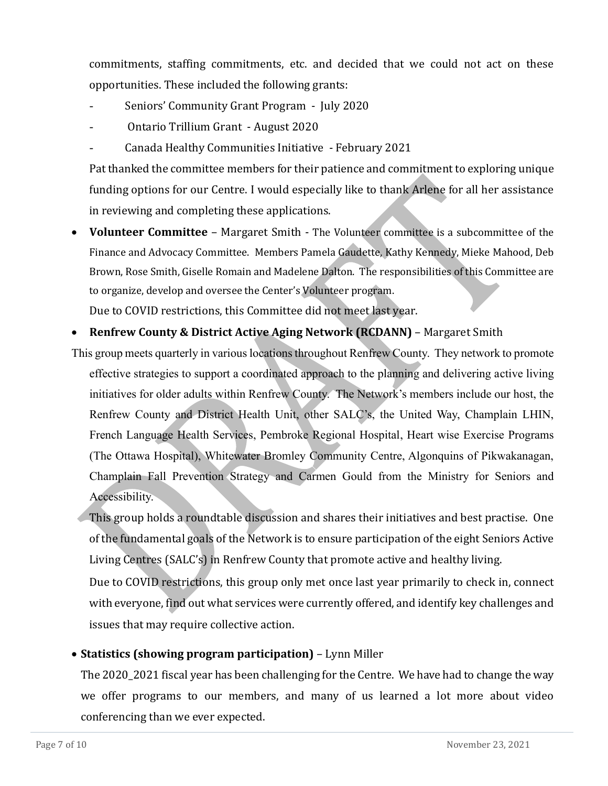commitments, staffing commitments, etc. and decided that we could not act on these opportunities. These included the following grants:

- Seniors' Community Grant Program July 2020
- Ontario Trillium Grant August 2020
- Canada Healthy Communities Initiative February 2021

Pat thanked the committee members for their patience and commitment to exploring unique funding options for our Centre. I would especially like to thank Arlene for all her assistance in reviewing and completing these applications.

• **Volunteer Committee** – Margaret Smith - The Volunteer committee is a subcommittee of the Finance and Advocacy Committee. Members Pamela Gaudette, Kathy Kennedy, Mieke Mahood, Deb Brown, Rose Smith, Giselle Romain and Madelene Dalton. The responsibilities of this Committee are to organize, develop and oversee the Center's Volunteer program.

Due to COVID restrictions, this Committee did not meet last year.

### • **Renfrew County & District Active Aging Network (RCDANN)** – Margaret Smith

This group meets quarterly in various locations throughout Renfrew County. They network to promote effective strategies to support a coordinated approach to the planning and delivering active living initiatives for older adults within Renfrew County. The Network's members include our host, the Renfrew County and District Health Unit, other SALC's, the United Way, Champlain LHIN, French Language Health Services, Pembroke Regional Hospital, Heart wise Exercise Programs (The Ottawa Hospital), Whitewater Bromley Community Centre, Algonquins of Pikwakanagan, Champlain Fall Prevention Strategy and Carmen Gould from the Ministry for Seniors and Accessibility.

This group holds a roundtable discussion and shares their initiatives and best practise. One of the fundamental goals of the Network is to ensure participation of the eight Seniors Active Living Centres (SALC's) in Renfrew County that promote active and healthy living.

Due to COVID restrictions, this group only met once last year primarily to check in, connect with everyone, find out what services were currently offered, and identify key challenges and issues that may require collective action.

## • **Statistics (showing program participation)** – Lynn Miller

The 2020\_2021 fiscal year has been challenging for the Centre. We have had to change the way we offer programs to our members, and many of us learned a lot more about video conferencing than we ever expected.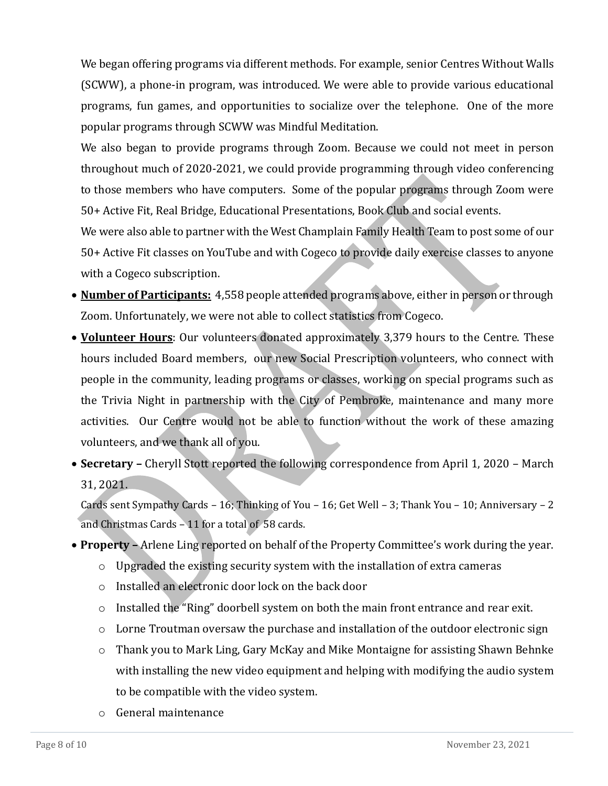We began offering programs via different methods. For example, senior Centres Without Walls (SCWW), a phone-in program, was introduced. We were able to provide various educational programs, fun games, and opportunities to socialize over the telephone. One of the more popular programs through SCWW was Mindful Meditation.

We also began to provide programs through Zoom. Because we could not meet in person throughout much of 2020-2021, we could provide programming through video conferencing to those members who have computers. Some of the popular programs through Zoom were 50+ Active Fit, Real Bridge, Educational Presentations, Book Club and social events.

We were also able to partner with the West Champlain Family Health Team to post some of our 50+ Active Fit classes on YouTube and with Cogeco to provide daily exercise classes to anyone with a Cogeco subscription.

- **Number of Participants:** 4,558 people attended programs above, either in person or through Zoom. Unfortunately, we were not able to collect statistics from Cogeco.
- **Volunteer Hours**: Our volunteers donated approximately 3,379 hours to the Centre. These hours included Board members, our new Social Prescription volunteers, who connect with people in the community, leading programs or classes, working on special programs such as the Trivia Night in partnership with the City of Pembroke, maintenance and many more activities. Our Centre would not be able to function without the work of these amazing volunteers, and we thank all of you.
- **Secretary –** Cheryll Stott reported the following correspondence from April 1, 2020 March 31, 2021.

Cards sent Sympathy Cards – 16; Thinking of You – 16; Get Well – 3; Thank You – 10; Anniversary – 2 and Christmas Cards – 11 for a total of 58 cards.

- **Property –** Arlene Ling reported on behalf of the Property Committee's work during the year.
	- o Upgraded the existing security system with the installation of extra cameras
	- o Installed an electronic door lock on the back door
	- o Installed the "Ring" doorbell system on both the main front entrance and rear exit.
	- $\circ$  Lorne Troutman oversaw the purchase and installation of the outdoor electronic sign
	- o Thank you to Mark Ling, Gary McKay and Mike Montaigne for assisting Shawn Behnke with installing the new video equipment and helping with modifying the audio system to be compatible with the video system.
	- o General maintenance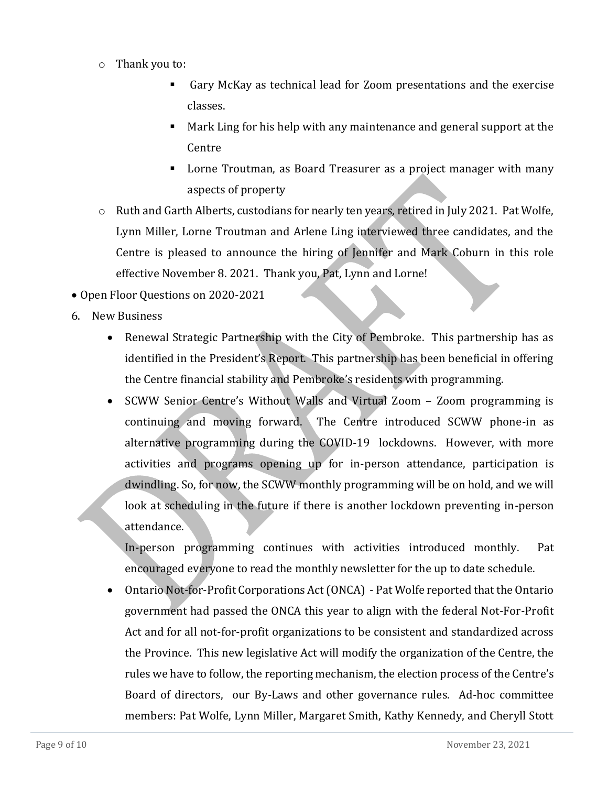- o Thank you to:
	- Gary McKay as technical lead for Zoom presentations and the exercise classes.
	- Mark Ling for his help with any maintenance and general support at the Centre
	- Lorne Troutman, as Board Treasurer as a project manager with many aspects of property
- o Ruth and Garth Alberts, custodians for nearly ten years, retired in July 2021. Pat Wolfe, Lynn Miller, Lorne Troutman and Arlene Ling interviewed three candidates, and the Centre is pleased to announce the hiring of Jennifer and Mark Coburn in this role effective November 8. 2021. Thank you, Pat, Lynn and Lorne!
- Open Floor Questions on 2020-2021
- 6. New Business
	- Renewal Strategic Partnership with the City of Pembroke. This partnership has as identified in the President's Report. This partnership has been beneficial in offering the Centre financial stability and Pembroke's residents with programming.
	- SCWW Senior Centre's Without Walls and Virtual Zoom Zoom programming is continuing and moving forward. The Centre introduced SCWW phone-in as alternative programming during the COVID-19 lockdowns. However, with more activities and programs opening up for in-person attendance, participation is dwindling. So, for now, the SCWW monthly programming will be on hold, and we will look at scheduling in the future if there is another lockdown preventing in-person attendance.

In-person programming continues with activities introduced monthly. Pat encouraged everyone to read the monthly newsletter for the up to date schedule.

• Ontario Not-for-Profit Corporations Act (ONCA) - Pat Wolfe reported that the Ontario government had passed the ONCA this year to align with the federal Not-For-Profit Act and for all not-for-profit organizations to be consistent and standardized across the Province. This new legislative Act will modify the organization of the Centre, the rules we have to follow, the reporting mechanism, the election process of the Centre's Board of directors, our By-Laws and other governance rules. Ad-hoc committee members: Pat Wolfe, Lynn Miller, Margaret Smith, Kathy Kennedy, and Cheryll Stott